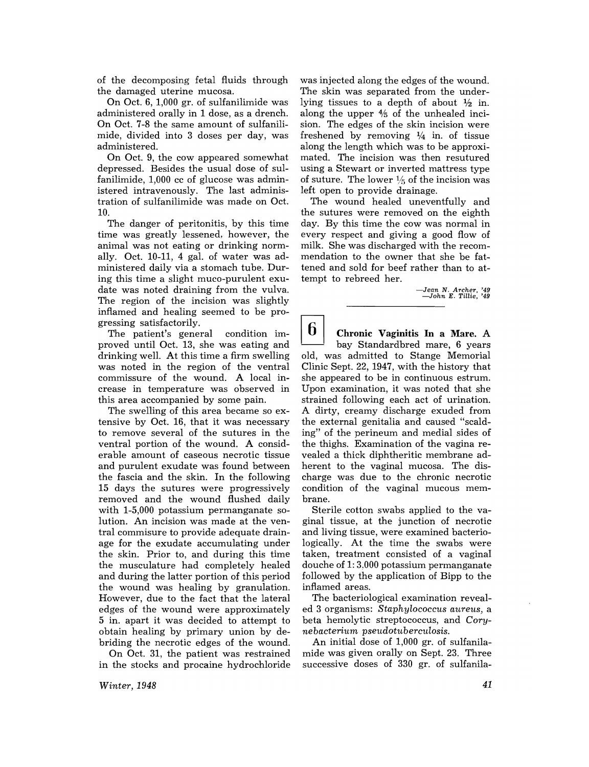of the decomposing fetal fluids through the damaged uterine mucosa.

On Oct. 6, 1,000 gr. of sulfanilimide was administered orally in 1 dose, as a drench. On Oct. 7-8 the same amount of sulfanilimide, divided into 3 doses per day, was administered.

On Oct. 9, the cow appeared somewhat depressed. Besides the usual dose of sulfanilimide, 1,000 cc of glucose was administered intravenously. The last administration of sulfanilimide was made on Oct. 10.

The danger of peritonitis, by this time time was greatly lessened, however, the animal was not eating or drinking normally. Oct. 10-11, 4 gal. of water was administered daily via a stomach tube. During this time a slight muco-purulent exudate was noted draining from the vulva. The region of the incision was slightly inflamed and healing seemed to be progressing satisfactorily.

The patient's general condition improved until Oct. 13, she was eating and drinking well. At this time a firm swelling was noted in the region of the ventral commissure of the wound. A local increase in temperature was observed in this area accompanied by some pain.

The swelling of this area became so extensive by Oct. 16, that it was necessary to remove several of the sutures in the ventral portion of the wound. A considerable amount of caseous necrotic tissue and purulent exudate was found between the fascia and the skin. In the following 15 days the sutures were progressively removed and the wound flushed daily with 1-5,000 potassium permanganate solution. An incision was made at the ventral commisure to provide adequate drainage for the exudate accumulating under the skin. Prior to, and during this time the musculature had completely healed and during the latter portion of this period the wound was healing by granulation. However, due to the fact that the lateral edges of the wound were approximately 5 in. apart it was decided to attempt to obtain healing by primary union by debriding the necrotic edges of the wound.

On Oct. 31, the patient was restrained in the stocks and procaine hydrochloride was injected along the edges of the wound. The skin was separated from the underlying tissues to a depth of about  $\frac{1}{2}$  in. along the upper  $4/6$  of the unhealed incision. The edges of the skin incision were freshened by removing  $\frac{1}{4}$  in. of tissue along the length which was to be approximated. The incision was then resutured using a Stewart or inverted mattress type of suture. The lower  $\frac{1}{5}$  of the incision was left open to provide drainage.

The wound healed uneventfully and the sutures were removed on the eighth day. By this time the cow was normal in every respect and giving a good flow of milk. She was discharged with the recommendation to the owner that she be fattened and sold for beef rather than to attempt to rebreed her.

*-Jean* N. *Archer, '49 -John E.* Titlie, '49

 $\mathbf b$ **Chronic Vaginitis In a Mare.** A bay Standardbred mare, 6 years old, was admitted to Stange Memorial Clinic Sept. 22, 1947, with the history that she appeared to be in continuous estrum. Upon examination, it was noted that she strained following each act of urination. A dirty, creamy discharge exuded from the external genitalia and caused "scalding" of the perineum and medial sides of the thighs. Examination of the vagina revealed a thick diphtheritic membrane adherent to the vaginal mucosa. The discharge was due to the chronic necrotic condition of the vaginal mucous membrane.

Sterile cotton swabs applied to the vaginal tissue, at the junction of necrotic and living tissue, were examined bacteriologically. At the time the swabs were taken, treatment consisted of a vaginal douche of 1: 3,000 potassium permanganate followed by the application of Bipp to the inflamed areas.

The bacteriological examination revealed 3 organisms: *Staphylococcus aureus,* a beta hemolytic streptococcus, and *Corynebacterium pseudotuberculosis.* 

An initial dose of 1,000 gr. of sulfanilamide was given orally on Sept. 23. Three successive doses of 330 gr. of sulfanila